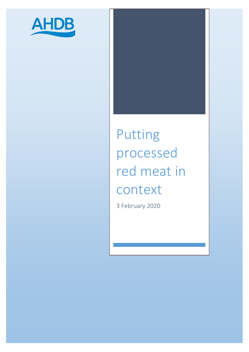

# Putting processed red meat in context

3 February 2020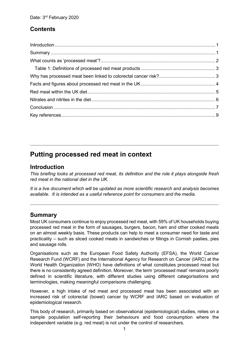## **Contents**

# **Putting processed red meat in context**

## <span id="page-1-0"></span>**Introduction**

*This briefing looks at processed red meat, its definition and the role it plays alongside fresh red meat in the national diet in the UK.* 

*It is a live document which will be updated as more scientific research and analysis becomes available. It is intended as a useful reference point for consumers and the media.*

## <span id="page-1-1"></span>**Summary**

Most UK consumers continue to enjoy processed red meat, with 59% of UK households buying processed red meat in the form of sausages, burgers, bacon, ham and other cooked meats on an almost weekly basis. These products can help to meet a consumer need for taste and practicality – such as sliced cooked meats in sandwiches or fillings in Cornish pasties, pies and sausage rolls.

Organisations such as the European Food Safety Authority (EFSA), the World Cancer Research Fund (WCRF) and the International Agency for Research on Cancer (IARC) at the World Health Organization (WHO) have definitions of what constitutes processed meat but there is no consistently agreed definition. Moreover, the term 'processed meat' remains poorly defined in scientific literature, with different studies using different categorisations and terminologies, making meaningful comparisons challenging.

However, a high intake of red meat and processed meat has been associated with an increased risk of colorectal (bowel) cancer by WCRF and IARC based on evaluation of epidemiological research.

This body of research, primarily based on observational (epidemiological) studies, relies on a sample population self-reporting their behaviours and food consumption where the independent variable (e.g. red meat) is not under the control of researchers.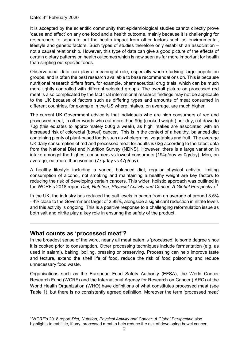It is accepted by the scientific community that epidemiological studies cannot directly prove 'cause and effect' on any one food and a health outcome, mainly because it is challenging for researchers to separate out the health impact from other factors such as environmental, lifestyle and genetic factors. Such types of studies therefore only establish an association – not a causal relationship. However, this type of data can give a good picture of the effects of certain dietary patterns on health outcomes which is now seen as far more important for health than singling out specific foods.

Observational data can play a meaningful role, especially when studying large population groups, and is often the best research available to base recommendations on. This is because nutritional research differs from, for example, pharmaceutical drug trials, which can be much more tightly controlled with different selected groups. The overall picture on processed red meat is also complicated by the fact that international research findings may not be applicable to the UK because of factors such as differing types and amounts of meat consumed in different countries, for example in the US where intakes, on average, are much higher.

The current UK Government advice is that individuals who are high consumers of red and processed meat, in other words who eat more than 90g (cooked weight) per day, cut down to 70g (this equates to approximately 500g a week), as high intakes are associated with an increased risk of colorectal (bowel) cancer. This is in the context of a healthy, balanced diet containing plenty of plant-based foods such as wholegrains, vegetables and fruit. The average UK daily consumption of red and processed meat for adults is 62g according to the latest data from the National Diet and Nutrition Survey (NDNS). However, there is a large variation in intake amongst the highest consumers vs lowest consumers (194g/day vs 0g/day). Men, on average, eat more than women (77g/day vs 47g/day).

A healthy lifestyle including a varied, balanced diet, regular physical activity, limiting consumption of alcohol, not smoking and maintaining a healthy weight are key factors to reducing the risk of developing certain cancers. This wider, holistic approach was outlined in the WCRF's 2018 report *Diet, Nutrition, Physical Activity and Cancer: A Global Perspective. [1](#page-2-1)*

In the UK, the industry has reduced the salt levels in bacon from an average of around 3.5% - 4% close to the Government target of 2.88%, alongside a significant reduction in nitrite levels and this activity is ongoing. This is a positive response to a challenging reformulation issue as both salt and nitrite play a key role in ensuring the safety of the product.

#### <span id="page-2-0"></span>**What counts as 'processed meat'?**

In the broadest sense of the word, nearly all meat eaten is 'processed' to some degree since it is cooked prior to consumption. Other processing techniques include fermentation (e.g. as used in salami), baking, boiling, pressing or preserving. Processing can help improve taste and texture, extend the shelf life of food, reduce the risk of food poisoning and reduce unnecessary food waste.

Organisations such as the European Food Safety Authority (EFSA), the World Cancer Research Fund (WCRF) and the International Agency for Research on Cancer (IARC) at the World Health Organization (WHO) have definitions of what constitutes processed meat (see Table 1), but there is no consistently agreed definition. Moreover the term 'processed meat'

<span id="page-2-1"></span> <sup>1</sup> WCRF's 2018 report *Diet, Nutrition, Physical Activity and Cancer: A Global Perspective* also highlights to eat little, if any, processed meat to help reduce the risk of developing bowel cancer.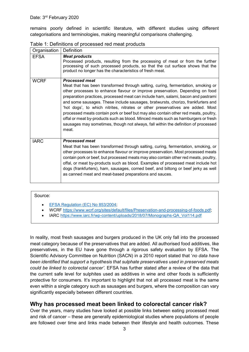remains poorly defined in scientific literature, with different studies using different categorisations and terminologies, making meaningful comparisons challenging.

| Organisation | Definition                                                                                                                                                                                                                                                                                                                                                                                                                                                                                                                                                                                                                                                                                                                       |
|--------------|----------------------------------------------------------------------------------------------------------------------------------------------------------------------------------------------------------------------------------------------------------------------------------------------------------------------------------------------------------------------------------------------------------------------------------------------------------------------------------------------------------------------------------------------------------------------------------------------------------------------------------------------------------------------------------------------------------------------------------|
| <b>EFSA</b>  | <b>Meat products</b><br>Processed products, resulting from the processing of meat or from the further<br>processing of such processed products, so that the cut surface shows that the<br>product no longer has the characteristics of fresh meat.                                                                                                                                                                                                                                                                                                                                                                                                                                                                               |
| <b>WCRF</b>  | <b>Processed meat</b><br>Meat that has been transformed through salting, curing, fermentation, smoking or<br>other processes to enhance flavour or improve preservation. Depending on food<br>preparation practices, processed meat can include ham, salami, bacon and pastrami<br>and some sausages. These include sausages, bratwursts, chorizo, frankfurters and<br>'hot dogs', to which nitrites, nitrates or other preservatives are added. Most<br>processed meats contain pork or beef but may also contain other red meats, poultry,<br>offal or meat by-products such as blood. Minced meats such as hamburgers or fresh<br>sausages may sometimes, though not always, fall within the definition of processed<br>meat. |
| <b>IARC</b>  | <b>Processed meat</b><br>Meat that has been transformed through salting, curing, fermentation, smoking, or<br>other processes to enhance flavour or improve preservation. Most processed meats<br>contain pork or beef, but processed meats may also contain other red meats, poultry,<br>offal, or meat by-products such as blood. Examples of processed meat include hot<br>dogs (frankfurters), ham, sausages, corned beef, and biltong or beef jerky as well<br>as canned meat and meat-based preparations and sauces.                                                                                                                                                                                                       |

<span id="page-3-0"></span>Table 1: Definitions of processed red meat products

#### Source:

- [EFSA Regulation \(EC\) No 853/2004;](https://eur-lex.europa.eu/legal-content/EN/ALL/?uri=CELEX%3A32004R0853)
- WCR[F https://www.wcrf.org/sites/default/files/Preservation-and-processing-of-foods.pdf;](https://www.wcrf.org/sites/default/files/Preservation-and-processing-of-foods.pdf)
- IARC [https://www.iarc.fr/wp-content/uploads/2018/07/Monographs-QA\\_Vol114.pdf](https://www.iarc.fr/wp-content/uploads/2018/07/Monographs-QA_Vol114.pdf)

In reality, most fresh sausages and burgers produced in the UK only fall into the processed meat category because of the preservatives that are added. All authorised food additives, like preservatives, in the EU have gone through a rigorous safety evaluation by EFSA. The Scientific Advisory Committee on Nutrition (SACN) in a 2010 report stated that '*no data have been identified that support a hypothesis that sulphate preservatives used in preserved meats could be linked to colorectal cancer'*. EFSA has further stated after a review of the data that the current safe level for sulphites used as additives in wine and other foods is sufficiently protective for consumers. It's important to highlight that not all processed meat is the same even within a single category such as sausages and burgers, where the composition can vary significantly especially between different countries.

## <span id="page-3-1"></span>**Why has processed meat been linked to colorectal cancer risk?**

Over the years, many studies have looked at possible links between eating processed meat and risk of cancer – these are generally epidemiological studies where populations of people are followed over time and links made between their lifestyle and health outcomes. These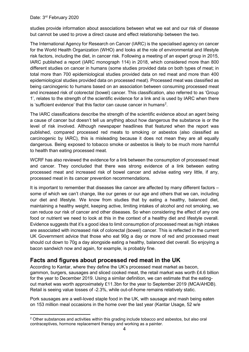**.** 

studies provide information about associations between what we eat and our risk of disease but cannot be used to prove a direct cause and effect relationship between the two.

The International Agency for Research on Cancer (IARC) is the specialised agency on cancer for the World Health Organization (WHO) and looks at the role of environmental and lifestyle risk factors, including the diet, in cancer risk. Following a meeting of an expert group in 2015, IARC published a report (IARC monograph 114) in 2018, which considered more than 800 different studies on cancer in humans (some studies provided data on both types of meat; in total more than 700 epidemiological studies provided data on red meat and more than 400 epidemiological studies provided data on processed meat). Processed meat was classified as being carcinogenic to humans based on an association between consuming processed meat and increased risk of colorectal (bowel) cancer. This classification, also referred to as 'Group 1', relates to the strength of the scientific evidence for a link and is used by IARC when there is 'sufficient evidence' that this factor can cause cancer in humans<sup>[2](#page-4-1)</sup>.

The IARC classifications describe the strength of the scientific evidence about an agent being a cause of cancer but doesn't tell us anything about how dangerous the substance is or the level of risk involved. Although newspaper headlines that featured when the report was published, compared processed red meats to smoking or asbestos (also classified as carcinogenic by IARC), this is misleading because it does not mean they are all equally dangerous. Being exposed to tobacco smoke or asbestos is likely to be much more harmful to health than eating processed meat.

WCRF has also reviewed the evidence for a link between the consumption of processed meat and cancer. They concluded that there was strong evidence of a link between eating processed meat and increased risk of bowel cancer and advise eating very little, if any, processed meat in its cancer prevention recommendations.

It is important to remember that diseases like cancer are affected by many different factors – some of which we can't change, like our genes or our age and others that we can, including our diet and lifestyle. We know from studies that by eating a healthy, balanced diet, maintaining a healthy weight, keeping active, limiting intakes of alcohol and not smoking, we can reduce our risk of cancer and other diseases. So when considering the effect of any one food or nutrient we need to look at this in the context of a healthy diet and lifestyle overall. Evidence suggests that it's a good idea to limit consumption of processed meat as high intakes are associated with increased risk of colorectal (bowel) cancer. This is reflected in the current UK Government advice that those who eat 90g a day or more of red and processed meat should cut down to 70g a day alongside eating a healthy, balanced diet overall. So enjoying a bacon sandwich now and again, for example, is probably fine.

## <span id="page-4-0"></span>**Facts and figures about processed red meat in the UK**

According to Kantar, where they define the UK's processed meat market as bacon, gammon, burgers, sausages and sliced cooked meat, the retail market was worth £4.6 billion for the year to December 2019. Using a similar definition, we can estimate that the eatingout market was worth approximately £11.3bn for the year to September 2019 (MCA/AHDB). Retail is seeing value losses of -2.3%, while out-of-home remains relatively static.

Pork sausages are a well-loved staple food in the UK, with sausage and mash being eaten on 153 million meal occasions in the home over the last year (Kantar Usage, 52 w/e

<span id="page-4-1"></span><sup>2</sup> Other substances and activities within this grading include tobacco and asbestos, but also oral contraceptives, hormone replacement therapy and working as a painter.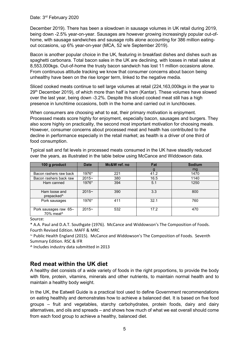December 2019). There has been a slowdown in sausage volumes in UK retail during 2019, being down -2.5% year-on-year. Sausages are however growing increasingly popular out-ofhome, with sausage sandwiches and sausage rolls alone accounting for 386 million eatingout occasions, up 6% year-on-year (MCA, 52 w/e September 2019).

Bacon is another popular choice in the UK, featuring in breakfast dishes and dishes such as spaghetti carbonara. Total bacon sales in the UK are declining, with losses in retail sales at 8,553,000kgs. Out-of-home the trusty bacon sandwich has lost 11 million occasions alone. From continuous attitude tracking we know that consumer concerns about bacon being unhealthy have been on the rise longer term, linked to the negative media.

Sliced cooked meats continue to sell large volumes at retail (224,163,000kgs in the year to  $29<sup>th</sup>$  December 2019), of which more than half is ham (Kantar). These volumes have slowed over the last year, being down -3.2%. Despite this sliced cooked meat still has a high presence in lunchtime occasions, both in the home and carried out in lunchboxes.

When consumers are choosing what to eat, their primary motivation is enjoyment. Processed meats score highly for enjoyment, especially bacon, sausages and burgers. They also score highly on practicality, the second most important motivation for choosing meals. However, consumer concerns about processed meat and health has contributed to the decline in performance especially in the retail market; as health is a driver of one third of food consumption.

| 100 g product                                  | <b>Date</b> | Mc&W ref. no | Fat  | <b>Sodium</b> |
|------------------------------------------------|-------------|--------------|------|---------------|
|                                                |             |              |      | mg            |
| Bacon rashers raw back                         | 1976*       | 221          | 41.2 | 1470          |
| Bacon rashers back raw                         | $2015 -$    | 380          | 16.5 | 1140          |
| Ham canned                                     | 1976*       | 394          | 5.1  | 1250          |
| Ham loose and<br>prepacked <sup>^</sup>        | $2015 -$    | 390          | 3.3  | 800           |
| Pork sausages                                  | 1976*       | 411          | 32.1 | 760           |
| Pork sausages raw 65-<br>70% meat <sup>^</sup> | $2015 -$    | 532          | 17.2 | 470           |

Typical salt and fat levels in processed meats consumed in the UK have steadily reduced over the years, as illustrated in the table below using McCance and Widdowson data.

Source:

\* A.A. Paul and D.A.T. Southgate (1976). McCance and Widdowson's The Composition of Foods. Fourth Revised Edition. MAFF & MRC

~ Public Health England (2015). McCance and Widdowson's The Composition of Foods. Seventh Summary Edition. RSC & IFR

^ Includes industry data submitted in 2013

## <span id="page-5-0"></span>**Red meat within the UK diet**

A healthy diet consists of a wide variety of foods in the right proportions, to provide the body with fibre, protein, vitamins, minerals and other nutrients, to maintain normal health and to maintain a healthy body weight.

In the UK, the Eatwell Guide is a practical tool used to define Government recommendations on eating healthily and demonstrates how to achieve a balanced diet. It is based on five food groups – fruit and vegetables, starchy carbohydrates, protein foods, dairy and dairy alternatives, and oils and spreads – and shows how much of what we eat overall should come from each food group to achieve a healthy, balanced diet.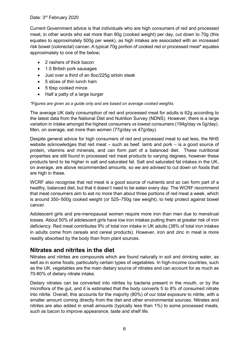Current Government advice is that individuals who are high consumers of red and processed meat, in other words who eat more than 90g (cooked weight) per day, cut down to 70g (this equates to approximately 500g per week), as high intakes are associated with an increased risk bowel (colorectal) cancer**.** A typical 70g portion of cooked red or processed meat\* equates approximately to one of the below;

- 2 rashers of thick bacon
- 1.5 British pork sausages
- Just over a third of an 8oz/225g sirloin steak
- 5 slices of thin lunch ham
- 5 tbsp cooked mince
- Half a patty of a large burger

#### *\*Figures are given as a guide only and are based on average cooked weights.*

The average UK daily consumption of red and processed meat for adults is 62g according to the latest data from the National Diet and Nutrition Survey (NDNS). However, there is a large variation in intake amongst the highest consumers vs lowest consumers (194g/day vs 0g/day). Men, on average, eat more than women (77g/day vs 47g/day).

Despite general advice for high consumers of red and processed meat to eat less, the NHS website acknowledges that red meat – such as beef, lamb and pork – is a good source of protein, vitamins and minerals, and can form part of a balanced diet. These nutritional properties are still found in processed red meat products to varying degrees, however these products tend to be higher in salt and saturated fat. Salt and saturated fat intakes in the UK, on average, are above recommended amounts, so we are advised to cut down on foods that are high in these.

WCRF also recognise that red meat is a good source of nutrients and so can form part of a healthy, balanced diet, but that it doesn't need to be eaten every day. The WCRF recommend that meat consumers aim to eat no more than about three portions of red meat a week, which is around 350–500g cooked weight (or 525–750g raw weight), to help protect against bowel cancer.

Adolescent girls and pre-menopausal women require more iron than men due to menstrual losses. About 50% of adolescent girls have low iron intakes putting them at greater risk of iron deficiency. Red meat contributes 9% of total iron intake in UK adults (38% of total iron intakes in adults come from cereals and cereal products). However, iron and zinc in meat is more readily absorbed by the body than from plant sources.

## <span id="page-6-0"></span>**Nitrates and nitrites in the diet**

Nitrates and nitrites are compounds which are found naturally in soil and drinking water, as well as in some foods, particularly certain types of vegetables. In high-income countries, such as the UK, vegetables are the main dietary source of nitrates and can account for as much as 70-80% of dietary nitrate intake.

Dietary nitrates can be converted into nitrites by bacteria present in the mouth, or by the microflora of the gut, and it is estimated that the body converts 5 to 8% of consumed nitrate into nitrite. Overall, this accounts for the majority (80%) of our total exposure to nitrite, with a smaller amount coming directly from the diet and other environmental sources. Nitrates and nitrites are also added in small amounts (typically less than 1%) to some processed meats, such as bacon to improve appearance, taste and shelf life.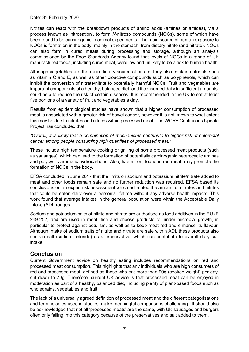Nitrites can react with the breakdown products of amino acids (amines or amides), via a process known as 'nitrosation', to form *N*-nitroso compounds (NOCs), some of which have been found to be carcinogenic in animal experiments. The main source of human exposure to NOCs is formation in the body, mainly in the stomach, from dietary nitrite (and nitrate). NOCs can also form in cured meats during processing and storage, although an analysis commissioned by the Food Standards Agency found that levels of NOCs in a range of UK manufactured foods, including cured meat, were low and unlikely to be a risk to human health.

Although vegetables are the main dietary source of nitrate, they also contain nutrients such as vitamin C and E, as well as other bioactive compounds such as polyphenols, which can inhibit the conversion of nitrate/nitrite to potentially harmful NOCs. Fruit and vegetables are important components of a healthy, balanced diet, and if consumed daily in sufficient amounts, could help to reduce the risk of certain diseases. It is recommended in the UK to eat at least five portions of a variety of fruit and vegetables a day.

Results from epidemiological studies have shown that a higher consumption of processed meat is associated with a greater risk of bowel cancer, however it is not known to what extent this may be due to nitrates and nitrites within processed meat. The WCRF Continuous Update Project has concluded that:

#### *"Overall, it is likely that a combination of mechanisms contribute to higher risk of colorectal cancer among people consuming high quantities of processed meat."*

These include high temperature cooking or grilling of some processed meat products (such as sausages), which can lead to the formation of potentially carcinogenic heterocyclic amines and polycyclic aromatic hydrocarbons. Also, haem iron, found in red meat, may promote the formation of NOCs in the body.

EFSA concluded in June 2017 that the limits on sodium and potassium nitrite/nitrate added to meat and other foods remain safe and no further reduction was required. EFSA based its conclusions on an expert risk assessment which estimated the amount of nitrates and nitrites that could be eaten daily over a person's lifetime without any adverse health impacts. This work found that average intakes in the general population were within the Acceptable Daily Intake (ADI) ranges.

Sodium and potassium salts of nitrite and nitrate are authorised as food additives in the EU (E 249-252) and are used in meat, fish and cheese products to hinder microbial growth, in particular to protect against botulism, as well as to keep meat red and enhance its flavour. Although intake of sodium salts of nitrite and nitrate are safe within ADI, these products also contain salt (sodium chloride) as a preservative, which can contribute to overall daily salt intake.

## <span id="page-7-0"></span>**Conclusion**

Current Government advice on healthy eating includes recommendations on red and processed meat consumption. This highlights that any individuals who are high consumers of red and processed meat, defined as those who eat more than 90g (cooked weight) per day, cut down to 70g. Therefore, current UK advice is that processed meat can be enjoyed in moderation as part of a healthy, balanced diet, including plenty of plant-based foods such as wholegrains, vegetables and fruit.

The lack of a universally agreed definition of processed meat and the different categorisations and terminologies used in studies, make meaningful comparisons challenging. It should also be acknowledged that not all 'processed meats' are the same, with UK sausages and burgers often only falling into this category because of the preservatives and salt added to them.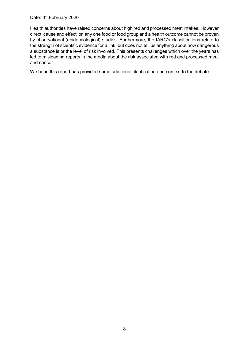Health authorities have raised concerns about high red and processed meat intakes. However direct 'cause and effect' on any one food or food group and a health outcome cannot be proven by observational (epidemiological) studies. Furthermore, the IARC's classifications relate to the strength of scientific evidence for a link, but does not tell us anything about how dangerous a substance is or the level of risk involved. This presents challenges which over the years has led to misleading reports in the media about the risk associated with red and processed meat and cancer.

<span id="page-8-0"></span>We hope this report has provided some additional clarification and context to the debate.